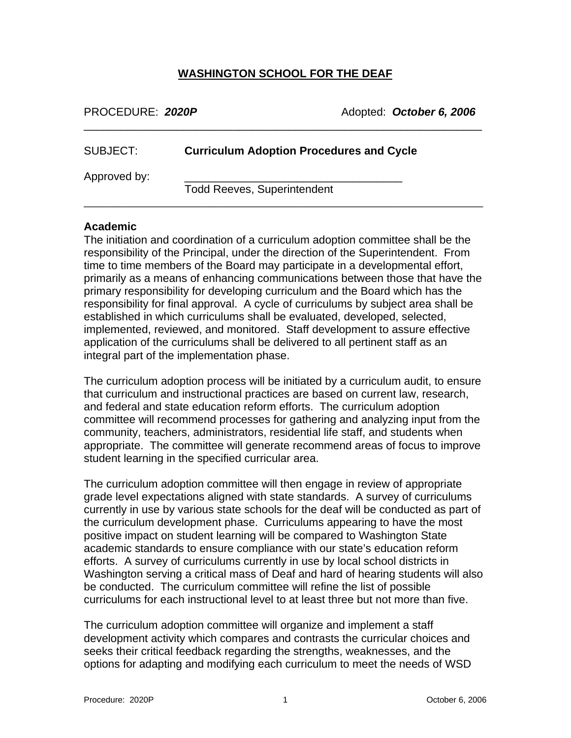#### **WASHINGTON SCHOOL FOR THE DEAF**

\_\_\_\_\_\_\_\_\_\_\_\_\_\_\_\_\_\_\_\_\_\_\_\_\_\_\_\_\_\_\_\_\_\_\_\_\_\_\_\_\_\_\_\_\_\_\_\_\_\_\_\_\_\_\_\_\_\_\_\_\_\_\_\_

| PROCEDURE: 2020P |  |
|------------------|--|
|------------------|--|

PROCEDURE: *2020P* Adopted: *October 6, 2006*

| SUBJECT:     | <b>Curriculum Adoption Procedures and Cycle</b> |
|--------------|-------------------------------------------------|
| Approved by: | <b>Todd Reeves, Superintendent</b>              |

#### **Academic**

The initiation and coordination of a curriculum adoption committee shall be the responsibility of the Principal, under the direction of the Superintendent. From time to time members of the Board may participate in a developmental effort, primarily as a means of enhancing communications between those that have the primary responsibility for developing curriculum and the Board which has the responsibility for final approval. A cycle of curriculums by subject area shall be established in which curriculums shall be evaluated, developed, selected, implemented, reviewed, and monitored. Staff development to assure effective application of the curriculums shall be delivered to all pertinent staff as an integral part of the implementation phase.

The curriculum adoption process will be initiated by a curriculum audit, to ensure that curriculum and instructional practices are based on current law, research, and federal and state education reform efforts. The curriculum adoption committee will recommend processes for gathering and analyzing input from the community, teachers, administrators, residential life staff, and students when appropriate. The committee will generate recommend areas of focus to improve student learning in the specified curricular area.

The curriculum adoption committee will then engage in review of appropriate grade level expectations aligned with state standards. A survey of curriculums currently in use by various state schools for the deaf will be conducted as part of the curriculum development phase. Curriculums appearing to have the most positive impact on student learning will be compared to Washington State academic standards to ensure compliance with our state's education reform efforts. A survey of curriculums currently in use by local school districts in Washington serving a critical mass of Deaf and hard of hearing students will also be conducted. The curriculum committee will refine the list of possible curriculums for each instructional level to at least three but not more than five.

The curriculum adoption committee will organize and implement a staff development activity which compares and contrasts the curricular choices and seeks their critical feedback regarding the strengths, weaknesses, and the options for adapting and modifying each curriculum to meet the needs of WSD